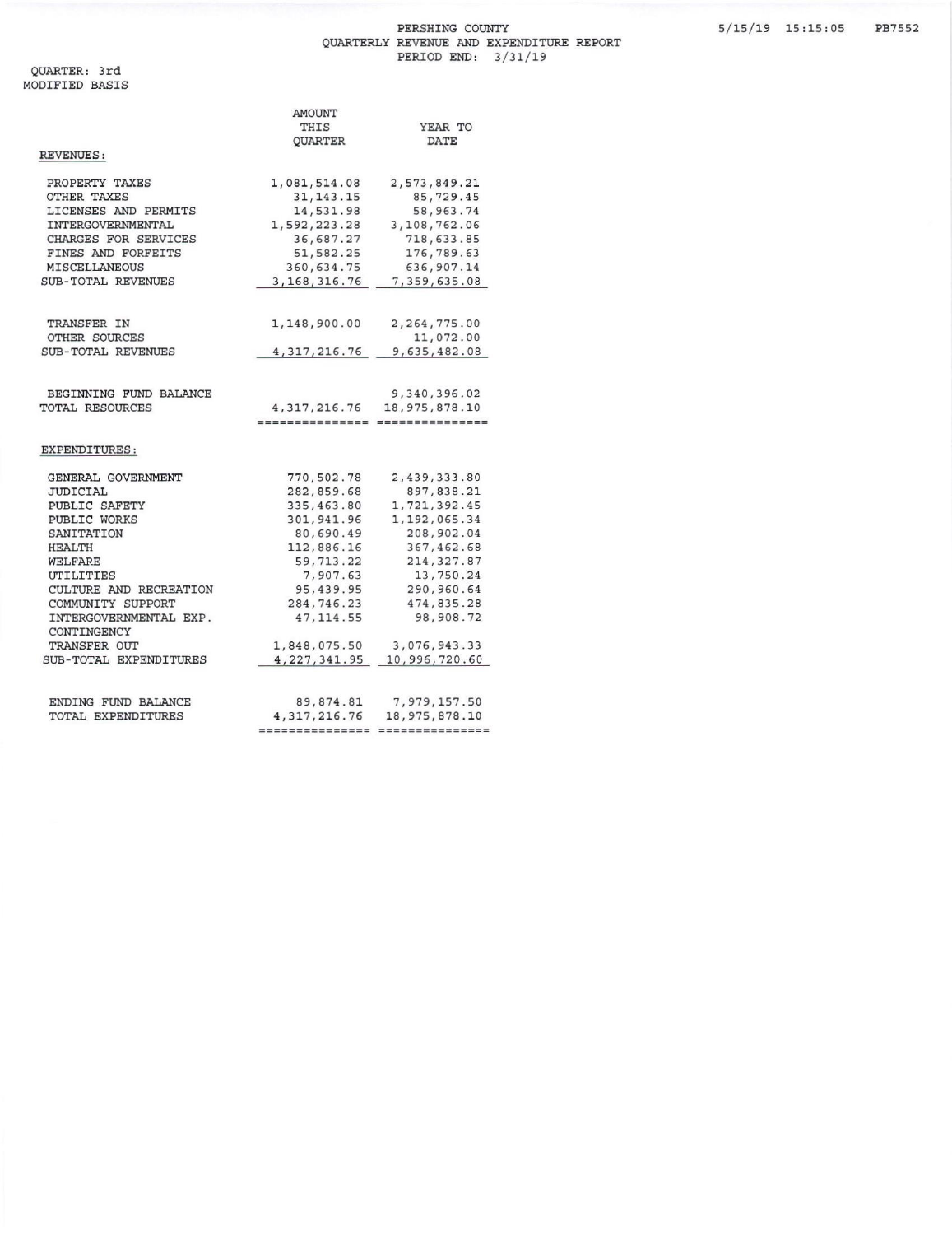## PERSHING COUNTY QUARTERLY REVENUE AND EXPENDITURE REPORT<br>PERIOD END: 3/31/19

|                        | AMOUNT          |                                   |
|------------------------|-----------------|-----------------------------------|
|                        | THIS            | YEAR TO                           |
|                        | QUARTER         | DATE                              |
| REVENUES:              |                 |                                   |
|                        |                 |                                   |
| PROPERTY TAXES         | 1,081,514.08    | 2,573,849.21                      |
| OTHER TAXES            | 31, 143. 15     | 85,729.45                         |
| LICENSES AND PERMITS   | 14,531.98       | 58, 963. 74                       |
| INTERGOVERNMENTAL      | 1,592,223.28    | 3,108,762.06                      |
| CHARGES FOR SERVICES   | 36,687.27       | 718,633.85                        |
| FINES AND FORFEITS     | 51,582.25       | 176,789.63                        |
| MISCELLANEOUS          | 360,634.75      | 636,907.14                        |
| SUB-TOTAL REVENUES     | 3, 168, 316.76  | 7,359,635.08                      |
|                        |                 |                                   |
| TRANSFER IN            | 1,148,900.00    | 2, 264, 775.00                    |
| OTHER SOURCES          |                 | 11,072.00                         |
| SUB-TOTAL REVENUES     | 4, 317, 216.76  | 9,635,482.08                      |
|                        |                 |                                   |
| BEGINNING FUND BALANCE |                 | 9,340,396.02                      |
| TOTAL RESOURCES        | 4, 317, 216.76  | 18, 975, 878.10                   |
|                        |                 | ================ ================ |
| EXPENDITURES:          |                 |                                   |
|                        |                 |                                   |
| GENERAL GOVERNMENT     | 770,502.78      | 2,439,333.80                      |
| JUDICIAL               | 282,859.68      | 897,838.21                        |
| PUBLIC SAFETY          | 335,463.80      | 1,721,392.45                      |
| PUBLIC WORKS           | 301,941.96      | 1, 192, 065.34                    |
| SANITATION             | 80,690.49       | 208,902.04                        |
| HEALTH                 | 112,886.16      | 367, 462.68                       |
| WELFARE                | 59, 713.22      | 214, 327.87                       |
| UTILITIES              | 7,907.63        | 13,750.24                         |
| CULTURE AND RECREATION | 95,439.95       | 290,960.64                        |
| COMMUNITY SUPPORT      | 284,746.23      | 474,835.28                        |
| INTERGOVERNMENTAL EXP. | 47, 114.55      | 98,908.72                         |
| CONTINGENCY            |                 |                                   |
| TRANSFER OUT           | 1,848,075.50    | 3,076,943.33                      |
| SUB-TOTAL EXPENDITURES | 4, 227, 341.95  | 10,996,720.60                     |
| ENDING FUND BALANCE    | 89,874.81       | 7,979,157.50                      |
| TOTAL EXPENDITURES     | 4, 317, 216.76  | 18,975,878.10                     |
|                        | =============== | ===============                   |
|                        |                 |                                   |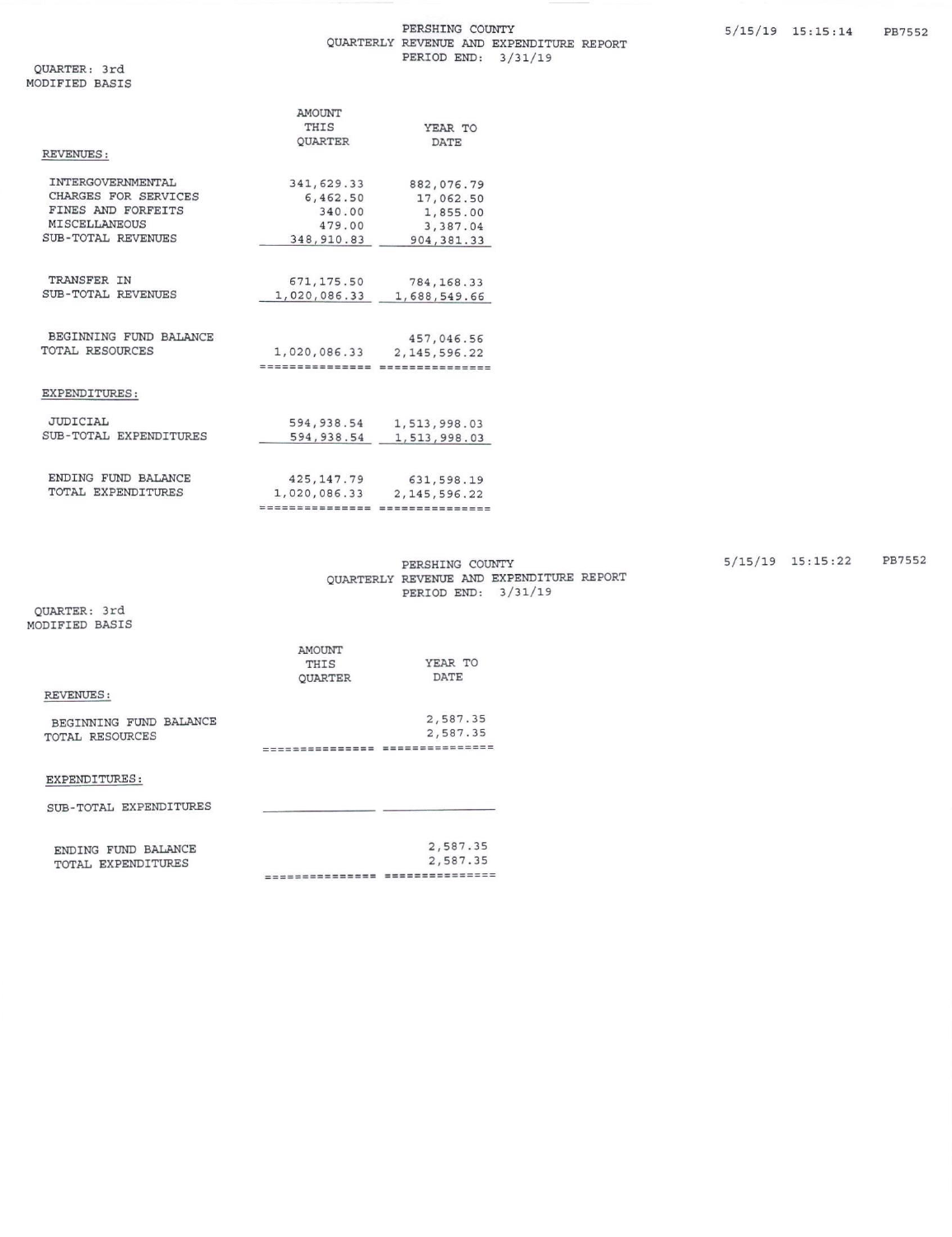|                           | <b>AMOUNT</b>  |                 |
|---------------------------|----------------|-----------------|
|                           | THIS           | YEAR TO         |
|                           | <b>OUARTER</b> | <b>DATE</b>     |
| REVENUES:                 |                |                 |
| INTERGOVERNMENTAL         | 341,629.33     | 882,076.79      |
| CHARGES FOR SERVICES      | 6,462.50       | 17,062.50       |
| FINES AND FORFEITS        | 340.00         | 1,855.00        |
| <b>MISCELLANEOUS</b>      | 479.00         | 3,387.04        |
| <b>SUB-TOTAL REVENUES</b> | 348, 910.83    | 904, 381.33     |
|                           |                |                 |
| TRANSFER IN               | 671, 175.50    | 784, 168.33     |
| <b>SUB-TOTAL REVENUES</b> | 1,020,086.33   | 1,688,549.66    |
|                           |                |                 |
| BEGINNING FUND BALANCE    |                | 457,046.56      |
| TOTAL RESOURCES           | 1,020,086.33   | 2, 145, 596, 22 |
|                           | -------------- | =============== |
| EXPENDITURES:             |                |                 |
| <b>JUDICIAL</b>           | 594,938.54     | 1,513,998.03    |
| SUB-TOTAL EXPENDITURES    | 594,938.54     | 1,513,998.03    |
|                           |                |                 |
| ENDING FUND BALANCE       | 425, 147.79    | 631,598.19      |
| TOTAL EXPENDITURES        | 1,020,086.33   | 2, 145, 596.22  |

PERSHING COUNTY QUARTERLY REVENUE AND EXPENDITURE REPORT PERIOD END: 3/31/19

================================

QUARTER: 3rd MODIFIED BASIS

|                        | AMOUNT         |          |
|------------------------|----------------|----------|
|                        | THIS           | YEAR TO  |
|                        | <b>OUARTER</b> | DATE     |
| REVENUES:              |                |          |
| BEGINNING FUND BALANCE |                | 2,587.35 |
| TOTAL RESOURCES        |                | 2,587.35 |
|                        | ----------     |          |
| EXPENDITURES:          |                |          |
| SUB-TOTAL EXPENDITURES |                |          |

| ENDING FUND BALANCE | 2,587.35         |
|---------------------|------------------|
| TOTAL EXPENDITURES  | 2,587.35         |
|                     | ---------------- |

5/15/19 15:15:22 PB7552